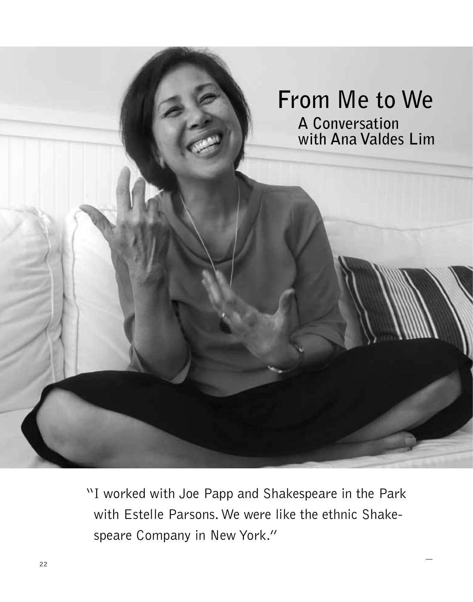

"I worked with Joe Papp and Shakespeare in the Park with Estelle Parsons. We were like the ethnic Shake speare Company in New York."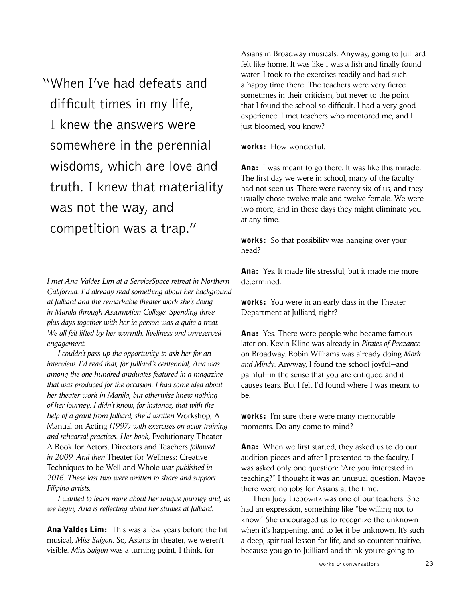"When I've had defeats and difficult times in my life, I knew the answers were somewhere in the perennial wisdoms, which are love and truth. I knew that materiality was not the way, and competition was a trap."

*I met Ana Valdes Lim at a ServiceSpace retreat in Northern California. I'd already read something about her background at Julliard and the remarkable theater work she's doing in Manila through Assumption College. Spending three plus days together with her in person was a quite a treat. We all felt lifted by her warmth, liveliness and unreserved engagement.* 

 *I couldn't pass up the opportunity to ask her for an interview. I'd read that, for Julliard's centennial, Ana was among the one hundred graduates featured in a magazine that was produced for the occasion. I had some idea about her theater work in Manila, but otherwise knew nothing of her journey. I didn't know, for instance, that with the help of a grant from Julliard, she'd written* Workshop, A Manual on Acting *(1997) with exercises on actor training and rehearsal practices. Her book,* Evolutionary Theater: A Book for Actors, Directors and Teachers *followed in 2009. And then* Theater for Wellness: Creative Techniques to be Well and Whole *was published in 2016. These last two were written to share and support Filipino artists.* 

 *I wanted to learn more about her unique journey and, as we begin, Ana is reflecting about her studies at Julliard.* 

Ana Valdes Lim: This was a few years before the hit musical, *Miss Saigon*. So, Asians in theater, we weren't visible. *Miss Saigon* was a turning point, I think, for

Asians in Broadway musicals. Anyway, going to Juilliard felt like home. It was like I was a fish and finally found water. I took to the exercises readily and had such a happy time there. The teachers were very fierce sometimes in their criticism, but never to the point that I found the school so difficult. I had a very good experience. I met teachers who mentored me, and I just bloomed, you know?

works: How wonderful.

Ana: I was meant to go there. It was like this miracle. The first day we were in school, many of the faculty had not seen us. There were twenty-six of us, and they usually chose twelve male and twelve female. We were two more, and in those days they might eliminate you at any time.

**works:** So that possibility was hanging over your head?

Ana: Yes. It made life stressful, but it made me more determined.

works: You were in an early class in the Theater Department at Julliard, right?

Ana: Yes. There were people who became famous later on. Kevin Kline was already in *Pirates of Penzance* on Broadway. Robin Williams was already doing *Mork and Mindy*. Anyway, I found the school joyful—and painful—in the sense that you are critiqued and it causes tears. But I felt I'd found where I was meant to be.

works: I'm sure there were many memorable moments. Do any come to mind?

Ana: When we first started, they asked us to do our audition pieces and after I presented to the faculty, I was asked only one question: "Are you interested in teaching?" I thought it was an unusual question. Maybe there were no jobs for Asians at the time.

 Then Judy Liebowitz was one of our teachers. She had an expression, something like "be willing not to know." She encouraged us to recognize the unknown when it's happening, and to let it be unknown. It's such a deep, spiritual lesson for life, and so counterintuitive, because you go to Juilliard and think you're going to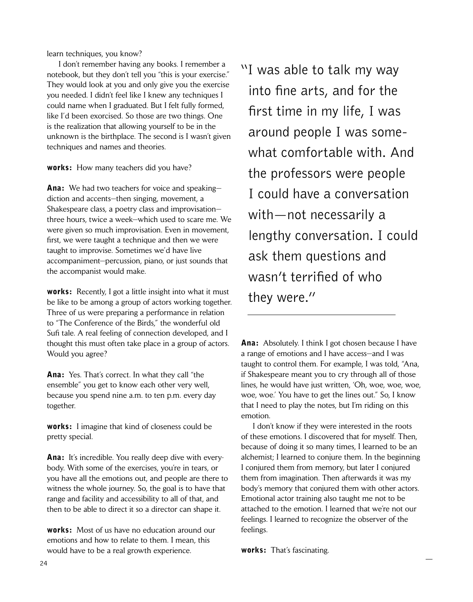learn techniques, you know?

 I don't remember having any books. I remember a notebook, but they don't tell you "this is your exercise." They would look at you and only give you the exercise you needed. I didn't feel like I knew any techniques I could name when I graduated. But I felt fully formed, like I'd been exorcised. So those are two things. One is the realization that allowing yourself to be in the unknown is the birthplace. The second is I wasn't given techniques and names and theories.

works: How many teachers did you have?

Ana: We had two teachers for voice and speakingdiction and accents—then singing, movement, a Shakespeare class, a poetry class and improvisation three hours, twice a week—which used to scare me. We were given so much improvisation. Even in movement, first, we were taught a technique and then we were taught to improvise. Sometimes we'd have live accompaniment—percussion, piano, or just sounds that the accompanist would make.

works: Recently, I got a little insight into what it must be like to be among a group of actors working together. Three of us were preparing a performance in relation to "The Conference of the Birds," the wonderful old Sufi tale. A real feeling of connection developed, and I thought this must often take place in a group of actors. Would you agree?

Ana: Yes. That's correct. In what they call "the ensemble" you get to know each other very well, because you spend nine a.m. to ten p.m. every day together.

works: I imagine that kind of closeness could be pretty special.

Ana: It's incredible. You really deep dive with everybody. With some of the exercises, you're in tears, or you have all the emotions out, and people are there to witness the whole journey. So, the goal is to have that range and facility and accessibility to all of that, and then to be able to direct it so a director can shape it.

works: Most of us have no education around our emotions and how to relate to them. I mean, this would have to be a real growth experience.

"I was able to talk my way into fine arts, and for the first time in my life, I was around people I was some what comfortable with. And the professors were people I could have a conversation with—not necessarily a lengthy conversation. I could ask them questions and wasn't terrified of who they were."

Ana: Absolutely. I think I got chosen because I have a range of emotions and I have access—and I was taught to control them. For example, I was told, "Ana, if Shakespeare meant you to cry through all of those lines, he would have just written, 'Oh, woe, woe, woe, woe, woe.' You have to get the lines out." So, I know that I need to play the notes, but I'm riding on this emotion.

 I don't know if they were interested in the roots of these emotions. I discovered that for myself. Then, because of doing it so many times, I learned to be an alchemist; I learned to conjure them. In the beginning I conjured them from memory, but later I conjured them from imagination. Then afterwards it was my body's memory that conjured them with other actors. Emotional actor training also taught me not to be attached to the emotion. I learned that we're not our feelings. I learned to recognize the observer of the feelings.

works: That's fascinating.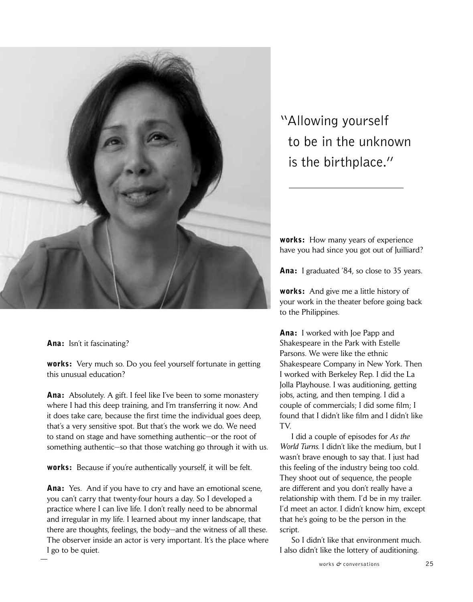

"Allowing yourself to be in the unknown is the birthplace."

works: How many years of experience have you had since you got out of Juilliard?

Ana: I graduated '84, so close to 35 years.

works: And give me a little history of your work in the theater before going back to the Philippines.

Ana: I worked with Joe Papp and Shakespeare in the Park with Estelle Parsons. We were like the ethnic Shakespeare Company in New York. Then I worked with Berkeley Rep. I did the La Jolla Playhouse. I was auditioning, getting jobs, acting, and then temping. I did a couple of commercials; I did some film; I found that I didn't like film and I didn't like TV.

 I did a couple of episodes for *As the World Turns*. I didn't like the medium, but I wasn't brave enough to say that. I just had this feeling of the industry being too cold. They shoot out of sequence, the people are different and you don't really have a relationship with them. I'd be in my trailer. I'd meet an actor. I didn't know him, except that he's going to be the person in the script.

 So I didn't like that environment much. I also didn't like the lottery of auditioning.

Ana: Isn't it fascinating?

works: Very much so. Do you feel yourself fortunate in getting this unusual education?

Ana: Absolutely. A gift. I feel like I've been to some monastery where I had this deep training, and I'm transferring it now. And it does take care, because the first time the individual goes deep, that's a very sensitive spot. But that's the work we do. We need to stand on stage and have something authentic—or the root of something authentic—so that those watching go through it with us.

works: Because if you're authentically yourself, it will be felt.

Ana: Yes. And if you have to cry and have an emotional scene, you can't carry that twenty-four hours a day. So I developed a practice where I can live life. I don't really need to be abnormal and irregular in my life. I learned about my inner landscape, that there are thoughts, feelings, the body—and the witness of all these. The observer inside an actor is very important. It's the place where I go to be quiet.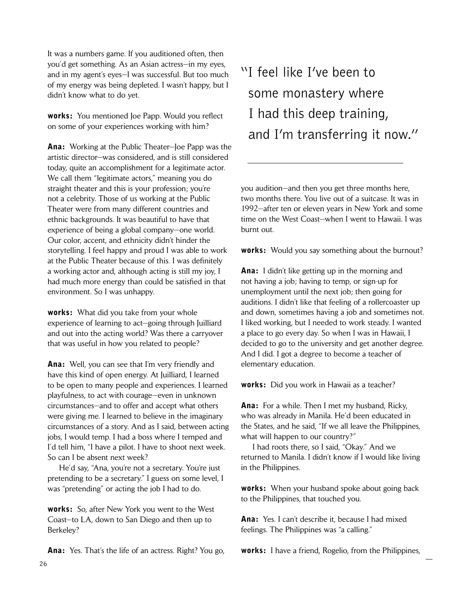It was a numbers game. If you auditioned often, then you'd get something. As an Asian actress—in my eyes, and in my agent's eyes—I was successful. But too much of my energy was being depleted. I wasn't happy, but I didn't know what to do yet.

works: You mentioned Joe Papp. Would you reflect on some of your experiences working with him?

**Ana:** Working at the Public Theater-Joe Papp was the artistic director—was considered, and is still considered today, quite an accomplishment for a legitimate actor. We call them "legitimate actors," meaning you do straight theater and this is your profession; you're not a celebrity. Those of us working at the Public Theater were from many different countries and ethnic backgrounds. It was beautiful to have that experience of being a global company—one world. Our color, accent, and ethnicity didn't hinder the storytelling. I feel happy and proud I was able to work at the Public Theater because of this. I was definitely a working actor and, although acting is still my joy, I had much more energy than could be satisfied in that environment. So I was unhappy.

works: What did you take from your whole experience of learning to act—going through Juilliard and out into the acting world? Was there a carryover that was useful in how you related to people?

**Ana:** Well, you can see that I'm very friendly and have this kind of open energy. At Juilliard, I learned to be open to many people and experiences. I learned playfulness, to act with courage—even in unknown circumstances—and to offer and accept what others were giving me. I learned to believe in the imaginary circumstances of a story. And as I said, between acting jobs, I would temp. I had a boss where I temped and I'd tell him, "I have a pilot. I have to shoot next week. So can I be absent next week?

 He'd say, "Ana, you're not a secretary. You're just pretending to be a secretary." I guess on some level, I was "pretending" or acting the job I had to do.

works: So, after New York you went to the West Coast—to LA, down to San Diego and then up to Berkeley?

Ana: Yes. That's the life of an actress. Right? You go,

# "I feel like I've been to some monastery where I had this deep training, and I'm transferring it now."

you audition—and then you get three months here, two months there. You live out of a suitcase. It was in 1992—after ten or eleven years in New York and some time on the West Coast—when I went to Hawaii. I was burnt out.

works: Would you say something about the burnout?

Ana: I didn't like getting up in the morning and not having a job; having to temp, or sign-up for unemployment until the next job; then going for auditions. I didn't like that feeling of a rollercoaster up and down, sometimes having a job and sometimes not. I liked working, but I needed to work steady. I wanted a place to go every day. So when I was in Hawaii, I decided to go to the university and get another degree. And I did. I got a degree to become a teacher of elementary education.

**works:** Did you work in Hawaii as a teacher?

Ana: For a while. Then I met my husband, Ricky, who was already in Manila. He'd been educated in the States, and he said, "If we all leave the Philippines, what will happen to our country?"

 I had roots there, so I said, "Okay." And we returned to Manila. I didn't know if I would like living in the Philippines.

works: When your husband spoke about going back to the Philippines, that touched you.

Ana: Yes. I can't describe it, because I had mixed feelings. The Philippines was "a calling."

works: I have a friend, Rogelio, from the Philippines,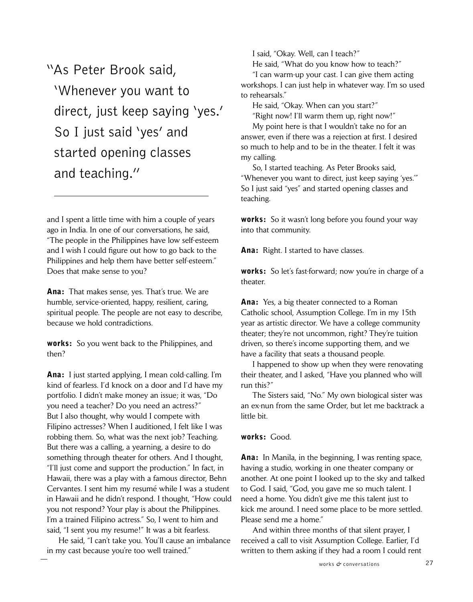"As Peter Brook said, 'Whenever you want to direct, just keep saying 'yes.' So I just said 'yes' and started opening classes and teaching."

and I spent a little time with him a couple of years ago in India. In one of our conversations, he said, "The people in the Philippines have low self-esteem and I wish I could figure out how to go back to the Philippines and help them have better self-esteem." Does that make sense to you?

Ana: That makes sense, yes. That's true. We are humble, service-oriented, happy, resilient, caring, spiritual people. The people are not easy to describe, because we hold contradictions.

works: So you went back to the Philippines, and then?

**Ana:** I just started applying, I mean cold-calling. I'm kind of fearless. I'd knock on a door and I'd have my portfolio. I didn't make money an issue; it was, "Do you need a teacher? Do you need an actress?" But I also thought, why would I compete with Filipino actresses? When I auditioned, I felt like I was robbing them. So, what was the next job? Teaching. But there was a calling, a yearning, a desire to do something through theater for others. And I thought, "I'll just come and support the production." In fact, in Hawaii, there was a play with a famous director, Behn Cervantes. I sent him my resumé while I was a student in Hawaii and he didn't respond. I thought, "How could you not respond? Your play is about the Philippines. I'm a trained Filipino actress." So, I went to him and said, "I sent you my resume!" It was a bit fearless.

 He said, "I can't take you. You'll cause an imbalance in my cast because you're too well trained."

I said, "Okay. Well, can I teach?"

He said, "What do you know how to teach?"

 "I can warm-up your cast. I can give them acting workshops. I can just help in whatever way. I'm so used to rehearsals."

He said, "Okay. When can you start?"

"Right now! I'll warm them up, right now!"

 My point here is that I wouldn't take no for an answer, even if there was a rejection at first. I desired so much to help and to be in the theater. I felt it was my calling.

 So, I started teaching. As Peter Brooks said, "Whenever you want to direct, just keep saying 'yes.'" So I just said "yes" and started opening classes and teaching.

**works:** So it wasn't long before you found your way into that community.

Ana: Right. I started to have classes.

works: So let's fast-forward; now you're in charge of a theater.

**Ana:** Yes, a big theater connected to a Roman Catholic school, Assumption College. I'm in my 15th year as artistic director. We have a college community theater; they're not uncommon, right? They're tuition driven, so there's income supporting them, and we have a facility that seats a thousand people.

 I happened to show up when they were renovating their theater, and I asked, "Have you planned who will run this?"

 The Sisters said, "No." My own biological sister was an ex-nun from the same Order, but let me backtrack a little bit.

## works: Good.

**Ana:** In Manila, in the beginning, I was renting space, having a studio, working in one theater company or another. At one point I looked up to the sky and talked to God. I said, "God, you gave me so much talent. I need a home. You didn't give me this talent just to kick me around. I need some place to be more settled. Please send me a home."

 And within three months of that silent prayer, I received a call to visit Assumption College. Earlier, I'd written to them asking if they had a room I could rent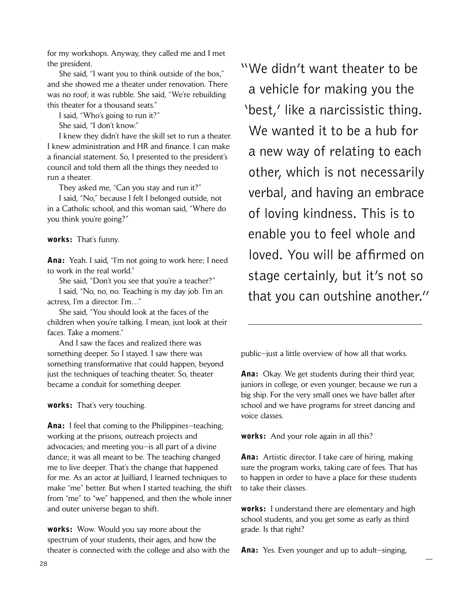for my workshops. Anyway, they called me and I met the president.

 She said, "I want you to think outside of the box," and she showed me a theater under renovation. There was no roof; it was rubble. She said, "We're rebuilding this theater for a thousand seats."

I said, "Who's going to run it?"

She said, "I don't know."

 I knew they didn't have the skill set to run a theater. I knew administration and HR and finance. I can make a financial statement. So, I presented to the president's council and told them all the things they needed to run a theater.

They asked me, "Can you stay and run it?"

 I said, "No," because I felt I belonged outside, not in a Catholic school, and this woman said, "Where do you think you're going?"

works: That's funny.

Ana: Yeah. I said, "I'm not going to work here; I need to work in the real world."

She said, "Don't you see that you're a teacher?"

 I said, "No, no, no. Teaching is my day job. I'm an actress, I'm a director. I'm…"

 She said, "You should look at the faces of the children when you're talking. I mean, just look at their faces. Take a moment."

 And I saw the faces and realized there was something deeper. So I stayed. I saw there was something transformative that could happen, beyond just the techniques of teaching theater. So, theater became a conduit for something deeper.

works: That's very touching.

**Ana:** I feel that coming to the Philippines–teaching; working at the prisons, outreach projects and advocacies; and meeting you—is all part of a divine dance; it was all meant to be. The teaching changed me to live deeper. That's the change that happened for me. As an actor at Juilliard, I learned techniques to make "me" better. But when I started teaching, the shift from "me" to "we" happened, and then the whole inner and outer universe began to shift.

works: Wow. Would you say more about the spectrum of your students, their ages, and how the theater is connected with the college and also with the "We didn't want theater to be a vehicle for making you the 'best,' like a narcissistic thing. We wanted it to be a hub for a new way of relating to each other, which is not necessarily verbal, and having an embrace of loving kindness. This is to enable you to feel whole and loved. You will be affirmed on stage certainly, but it's not so that you can outshine another."

public—just a little overview of how all that works.

Ana: Okay. We get students during their third year, juniors in college, or even younger, because we run a big ship. For the very small ones we have ballet after school and we have programs for street dancing and voice classes.

works: And your role again in all this?

**Ana:** Artistic director. I take care of hiring, making sure the program works, taking care of fees. That has to happen in order to have a place for these students to take their classes.

works: I understand there are elementary and high school students, and you get some as early as third grade. Is that right?

Ana: Yes. Even younger and up to adult-singing,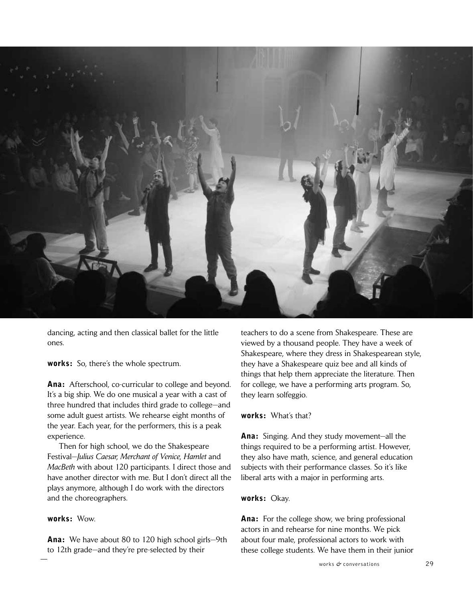

dancing, acting and then classical ballet for the little ones.

works: So, there's the whole spectrum.

Ana: Afterschool, co-curricular to college and beyond. It's a big ship. We do one musical a year with a cast of three hundred that includes third grade to college—and some adult guest artists. We rehearse eight months of the year. Each year, for the performers, this is a peak experience.

 Then for high school, we do the Shakespeare Festival—*Julius Caesar*, *Merchant of Venice*, *Hamlet* and *MacBeth* with about 120 participants. I direct those and have another director with me. But I don't direct all the plays anymore, although I do work with the directors and the choreographers.

## works: Wow.

Ana: We have about 80 to 120 high school girls-9th to 12th grade—and they're pre-selected by their

teachers to do a scene from Shakespeare. These are viewed by a thousand people. They have a week of Shakespeare, where they dress in Shakespearean style, they have a Shakespeare quiz bee and all kinds of things that help them appreciate the literature. Then for college, we have a performing arts program. So, they learn solfeggio.

### works: What's that?

Ana: Singing. And they study movement—all the things required to be a performing artist. However, they also have math, science, and general education subjects with their performance classes. So it's like liberal arts with a major in performing arts.

#### works: Okay.

**Ana:** For the college show, we bring professional actors in and rehearse for nine months. We pick about four male, professional actors to work with these college students. We have them in their junior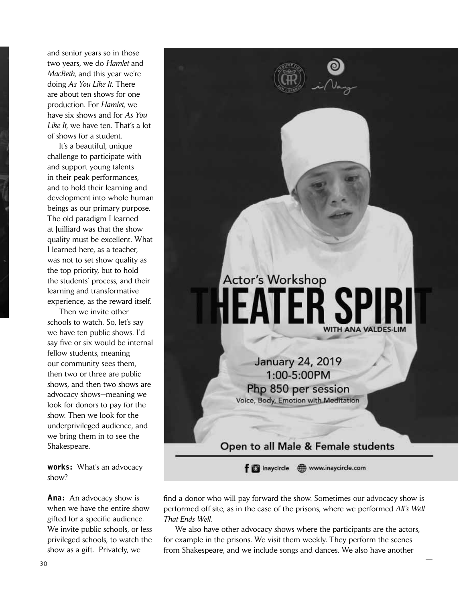and senior years so in those two years, we do *Hamlet* and *MacBeth*, and this year we're doing *As You Like It*. There are about ten shows for one production. For *Hamlet*, we have six shows and for *As You Like It*, we have ten. That's a lot of shows for a student.

 It's a beautiful, unique challenge to participate with and support young talents in their peak performances, and to hold their learning and development into whole human beings as our primary purpose. The old paradigm I learned at Juilliard was that the show quality must be excellent. What I learned here, as a teacher, was not to set show quality as the top priority, but to hold the students' process, and their learning and transformative experience, as the reward itself.

 Then we invite other schools to watch. So, let's say we have ten public shows. I'd say five or six would be internal fellow students, meaning our community sees them, then two or three are public shows, and then two shows are advocacy shows—meaning we look for donors to pay for the show. Then we look for the underprivileged audience, and we bring them in to see the Shakespeare.

works: What's an advocacy show?

**Ana:** An advocacy show is when we have the entire show gifted for a specific audience. We invite public schools, or less privileged schools, to watch the show as a gift. Privately, we



find a donor who will pay forward the show. Sometimes our advocacy show is performed off-site, as in the case of the prisons, where we performed *All's Well That Ends Well*.

 We also have other advocacy shows where the participants are the actors, for example in the prisons. We visit them weekly. They perform the scenes from Shakespeare, and we include songs and dances. We also have another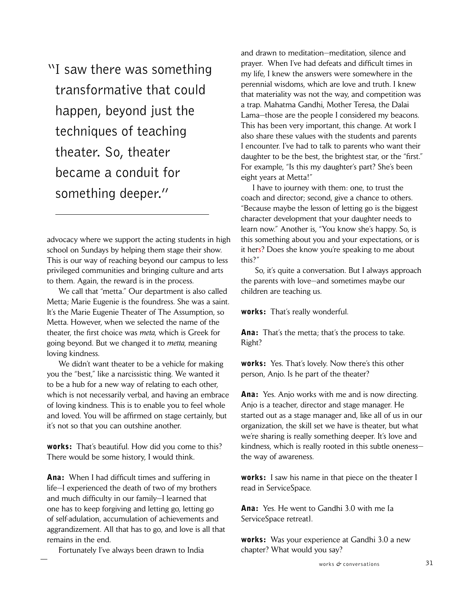"I saw there was something transformative that could happen, beyond just the techniques of teaching theater. So, theater became a conduit for something deeper."

advocacy where we support the acting students in high school on Sundays by helping them stage their show. This is our way of reaching beyond our campus to less privileged communities and bringing culture and arts to them. Again, the reward is in the process.

 We call that "metta." Our department is also called Metta; Marie Eugenie is the foundress. She was a saint. It's the Marie Eugenie Theater of The Assumption, so Metta. However, when we selected the name of the theater, the first choice was *meta*, which is Greek for going beyond. But we changed it to *metta*, meaning loving kindness.

We didn't want theater to be a vehicle for making you the "best," like a narcissistic thing. We wanted it to be a hub for a new way of relating to each other, which is not necessarily verbal, and having an embrace of loving kindness. This is to enable you to feel whole and loved. You will be affirmed on stage certainly, but it's not so that you can outshine another.

works: That's beautiful. How did you come to this? There would be some history, I would think.

Ana: When I had difficult times and suffering in life—I experienced the death of two of my brothers and much difficulty in our family—I learned that one has to keep forgiving and letting go, letting go of self-adulation, accumulation of achievements and aggrandizement. All that has to go, and love is all that remains in the end.

Fortunately I've always been drawn to India

and drawn to meditation—meditation, silence and prayer. When I've had defeats and difficult times in my life, I knew the answers were somewhere in the perennial wisdoms, which are love and truth. I knew that materiality was not the way, and competition was a trap. Mahatma Gandhi, Mother Teresa, the Dalai Lama—those are the people I considered my beacons. This has been very important, this change. At work I also share these values with the students and parents I encounter. I've had to talk to parents who want their daughter to be the best, the brightest star, or the "first." For example, "Is this my daughter's part? She's been eight years at Metta!"

 I have to journey with them: one, to trust the coach and director; second, give a chance to others. "Because maybe the lesson of letting go is the biggest character development that your daughter needs to learn now." Another is, "You know she's happy. So, is this something about you and your expectations, or is it hers? Does she know you're speaking to me about this?"

 So, it's quite a conversation. But I always approach the parents with love—and sometimes maybe our children are teaching us.

works: That's really wonderful.

Ana: That's the metta; that's the process to take. Right?

works: Yes. That's lovely. Now there's this other person, Anjo. Is he part of the theater?

**Ana:** Yes. Anjo works with me and is now directing. Anjo is a teacher, director and stage manager. He started out as a stage manager and, like all of us in our organization, the skill set we have is theater, but what we're sharing is really something deeper. It's love and kindness, which is really rooted in this subtle oneness the way of awareness.

**works:** I saw his name in that piece on the theater I read in ServiceSpace.

Ana: Yes. He went to Gandhi 3.0 with me Ia ServiceSpace retreat].

works: Was your experience at Gandhi 3.0 a new chapter? What would you say?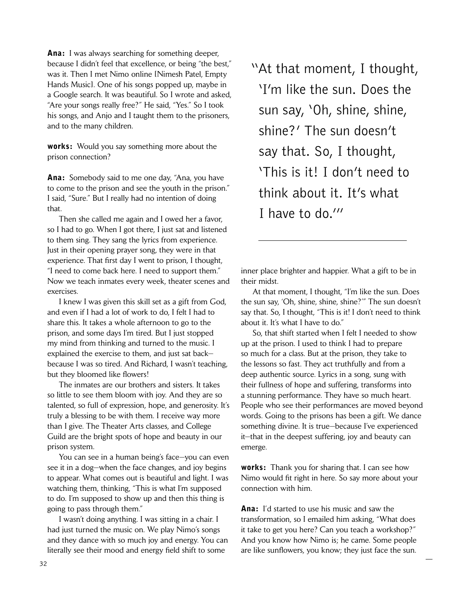**Ana:** I was always searching for something deeper, because I didn't feel that excellence, or being "the best," was it. Then I met Nimo online [Nimesh Patel, Empty Hands Music]. One of his songs popped up, maybe in a Google search. It was beautiful. So I wrote and asked, "Are your songs really free?" He said, "Yes." So I took his songs, and Anjo and I taught them to the prisoners, and to the many children.

works: Would you say something more about the prison connection?

Ana: Somebody said to me one day, "Ana, you have to come to the prison and see the youth in the prison." I said, "Sure." But I really had no intention of doing that.

 Then she called me again and I owed her a favor, so I had to go. When I got there, I just sat and listened to them sing. They sang the lyrics from experience. Just in their opening prayer song, they were in that experience. That first day I went to prison, I thought, "I need to come back here. I need to support them." Now we teach inmates every week, theater scenes and exercises.

 I knew I was given this skill set as a gift from God, and even if I had a lot of work to do, I felt I had to share this. It takes a whole afternoon to go to the prison, and some days I'm tired. But I just stopped my mind from thinking and turned to the music. I explained the exercise to them, and just sat back because I was so tired. And Richard, I wasn't teaching, but they bloomed like flowers!

 The inmates are our brothers and sisters. It takes so little to see them bloom with joy. And they are so talented, so full of expression, hope, and generosity. It's truly a blessing to be with them. I receive way more than I give. The Theater Arts classes, and College Guild are the bright spots of hope and beauty in our prison system.

 You can see in a human being's face—you can even see it in a dog—when the face changes, and joy begins to appear. What comes out is beautiful and light. I was watching them, thinking, "This is what I'm supposed to do. I'm supposed to show up and then this thing is going to pass through them."

 I wasn't doing anything. I was sitting in a chair. I had just turned the music on. We play Nimo's songs and they dance with so much joy and energy. You can literally see their mood and energy field shift to some

"At that moment, I thought, 'I'm like the sun. Does the sun say, 'Oh, shine, shine, shine?' The sun doesn't say that. So, I thought, 'This is it! I don't need to think about it. It's what I have to do.'"

inner place brighter and happier. What a gift to be in their midst.

 At that moment, I thought, "I'm like the sun. Does the sun say, 'Oh, shine, shine, shine?'" The sun doesn't say that. So, I thought, "This is it! I don't need to think about it. It's what I have to do."

 So, that shift started when I felt I needed to show up at the prison. I used to think I had to prepare so much for a class. But at the prison, they take to the lessons so fast. They act truthfully and from a deep authentic source. Lyrics in a song, sung with their fullness of hope and suffering, transforms into a stunning performance. They have so much heart. People who see their performances are moved beyond words. Going to the prisons has been a gift. We dance something divine. It is true—because I've experienced it—that in the deepest suffering, joy and beauty can emerge.

works: Thank you for sharing that. I can see how Nimo would fit right in here. So say more about your connection with him.

Ana: I'd started to use his music and saw the transformation, so I emailed him asking, "What does it take to get you here? Can you teach a workshop?" And you know how Nimo is; he came. Some people are like sunflowers, you know; they just face the sun.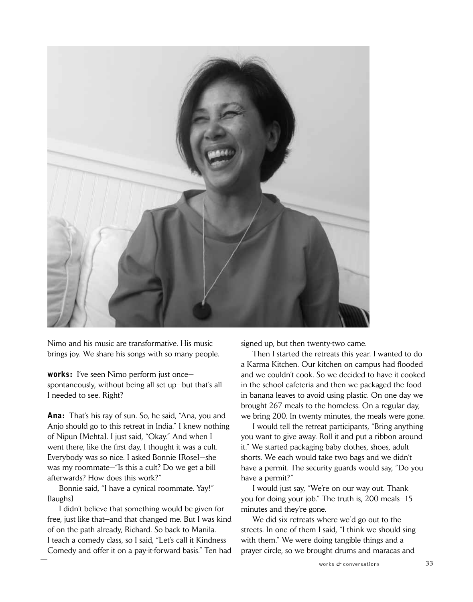

Nimo and his music are transformative. His music brings joy. We share his songs with so many people.

works: I've seen Nimo perform just once spontaneously, without being all set up—but that's all I needed to see. Right?

Ana: That's his ray of sun. So, he said, "Ana, you and Anjo should go to this retreat in India." I knew nothing of Nipun [Mehta]. I just said, "Okay." And when I went there, like the first day, I thought it was a cult. Everybody was so nice. I asked Bonnie [Rose]—she was my roommate—"Is this a cult? Do we get a bill afterwards? How does this work?"

 Bonnie said, "I have a cynical roommate. Yay!" [laughs]

 I didn't believe that something would be given for free, just like that—and that changed me. But I was kind of on the path already, Richard. So back to Manila. I teach a comedy class, so I said, "Let's call it Kindness Comedy and offer it on a pay-it-forward basis." Ten had

signed up, but then twenty-two came.

 Then I started the retreats this year. I wanted to do a Karma Kitchen. Our kitchen on campus had flooded and we couldn't cook. So we decided to have it cooked in the school cafeteria and then we packaged the food in banana leaves to avoid using plastic. On one day we brought 267 meals to the homeless. On a regular day, we bring 200. In twenty minutes, the meals were gone.

 I would tell the retreat participants, "Bring anything you want to give away. Roll it and put a ribbon around it." We started packaging baby clothes, shoes, adult shorts. We each would take two bags and we didn't have a permit. The security guards would say, "Do you have a permit?"

 I would just say, "We're on our way out. Thank you for doing your job." The truth is, 200 meals—15 minutes and they're gone.

 We did six retreats where we'd go out to the streets. In one of them I said, "I think we should sing with them." We were doing tangible things and a prayer circle, so we brought drums and maracas and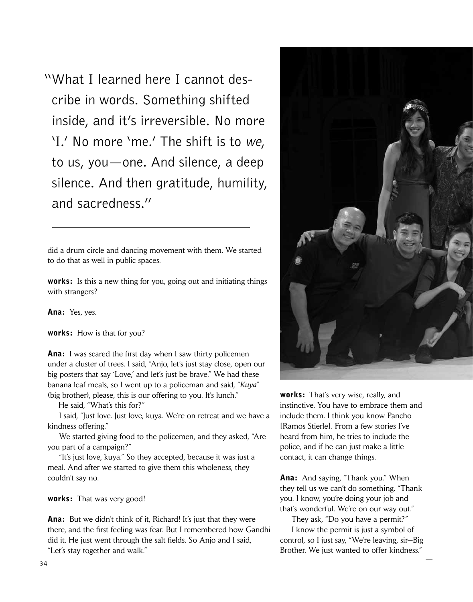"What I learned here I cannot des cribe in words. Something shifted inside, and it's irreversible. No more 'I.' No more 'me.' The shift is to we, to us, you—one. And silence, a deep silence. And then gratitude, humility, and sacredness."

did a drum circle and dancing movement with them. We started to do that as well in public spaces.

works: Is this a new thing for you, going out and initiating things with strangers?

Ana: Yes, yes.

works: How is that for you?

Ana: I was scared the first day when I saw thirty policemen under a cluster of trees. I said, "Anjo, let's just stay close, open our big posters that say 'Love,' and let's just be brave." We had these banana leaf meals, so I went up to a policeman and said, "*Kuya*" (big brother), please, this is our offering to you. It's lunch."

He said, "What's this for?"

 I said, "Just love. Just love, kuya. We're on retreat and we have a kindness offering."

 We started giving food to the policemen, and they asked, "Are you part of a campaign?"

 "It's just love, kuya." So they accepted, because it was just a meal. And after we started to give them this wholeness, they couldn't say no.

works: That was very good!

Ana: But we didn't think of it, Richard! It's just that they were there, and the first feeling was fear. But I remembered how Gandhi did it. He just went through the salt fields. So Anjo and I said, "Let's stay together and walk."



works: That's very wise, really, and instinctive. You have to embrace them and include them. I think you know Pancho [Ramos Stierle]. From a few stories I've heard from him, he tries to include the police, and if he can just make a little contact, it can change things.

Ana: And saying, "Thank you." When they tell us we can't do something. "Thank you. I know, you're doing your job and that's wonderful. We're on our way out."

They ask, "Do you have a permit?"

 I know the permit is just a symbol of control, so I just say, "We're leaving, sir—Big Brother. We just wanted to offer kindness."